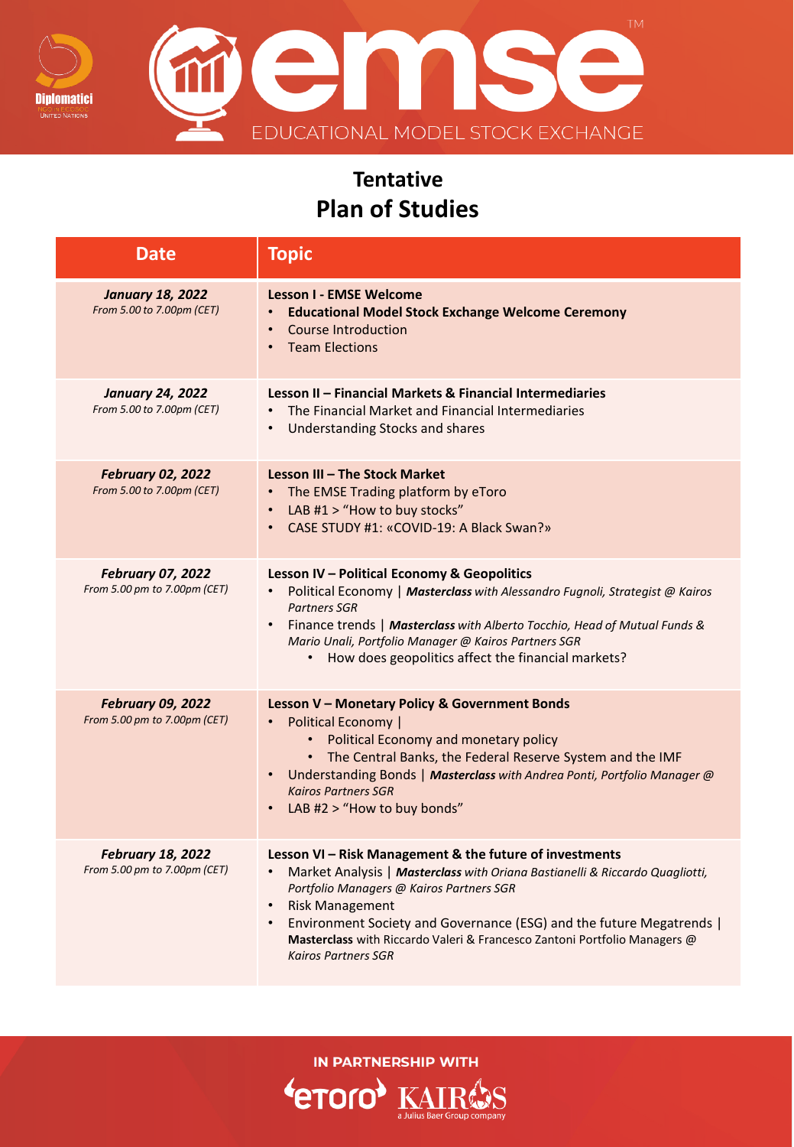

emse EDUCATIONAL MODEL STOCK EXCHANGE

## **Tentative Plan of Studies**

| <b>Date</b>                                              | <b>Topic</b>                                                                                                                                                                                                                                                                                                                                                                                                                            |
|----------------------------------------------------------|-----------------------------------------------------------------------------------------------------------------------------------------------------------------------------------------------------------------------------------------------------------------------------------------------------------------------------------------------------------------------------------------------------------------------------------------|
| <b>January 18, 2022</b><br>From 5.00 to 7.00pm (CET)     | <b>Lesson I - EMSE Welcome</b><br><b>Educational Model Stock Exchange Welcome Ceremony</b><br>$\bullet$<br>Course Introduction<br>$\bullet$<br><b>Team Elections</b><br>$\bullet$                                                                                                                                                                                                                                                       |
| <b>January 24, 2022</b><br>From 5.00 to 7.00pm (CET)     | Lesson II - Financial Markets & Financial Intermediaries<br>The Financial Market and Financial Intermediaries<br>$\bullet$<br><b>Understanding Stocks and shares</b><br>$\bullet$                                                                                                                                                                                                                                                       |
| <b>February 02, 2022</b><br>From 5.00 to 7.00pm (CET)    | Lesson III - The Stock Market<br>The EMSE Trading platform by eToro<br>LAB #1 > "How to buy stocks"<br>$\bullet$<br>CASE STUDY #1: «COVID-19: A Black Swan?»<br>$\bullet$                                                                                                                                                                                                                                                               |
| <b>February 07, 2022</b><br>From 5.00 pm to 7.00pm (CET) | Lesson IV - Political Economy & Geopolitics<br>Political Economy   Masterclass with Alessandro Fugnoli, Strategist @ Kairos<br><b>Partners SGR</b><br>Finance trends   Masterclass with Alberto Tocchio, Head of Mutual Funds &<br>$\bullet$<br>Mario Unali, Portfolio Manager @ Kairos Partners SGR<br>• How does geopolitics affect the financial markets?                                                                            |
| <b>February 09, 2022</b><br>From 5.00 pm to 7.00pm (CET) | Lesson V - Monetary Policy & Government Bonds<br>Political Economy  <br>Political Economy and monetary policy<br>The Central Banks, the Federal Reserve System and the IMF<br>Understanding Bonds   Masterclass with Andrea Ponti, Portfolio Manager @<br>$\bullet$<br><b>Kairos Partners SGR</b><br>LAB #2 > "How to buy bonds"                                                                                                        |
| <b>February 18, 2022</b><br>From 5.00 pm to 7.00pm (CET) | Lesson VI - Risk Management & the future of investments<br>Market Analysis   Masterclass with Oriana Bastianelli & Riccardo Quagliotti,<br>$\bullet$<br>Portfolio Managers @ Kairos Partners SGR<br><b>Risk Management</b><br>$\bullet$<br>Environment Society and Governance (ESG) and the future Megatrends  <br>$\bullet$<br>Masterclass with Riccardo Valeri & Francesco Zantoni Portfolio Managers @<br><b>Kairos Partners SGR</b> |